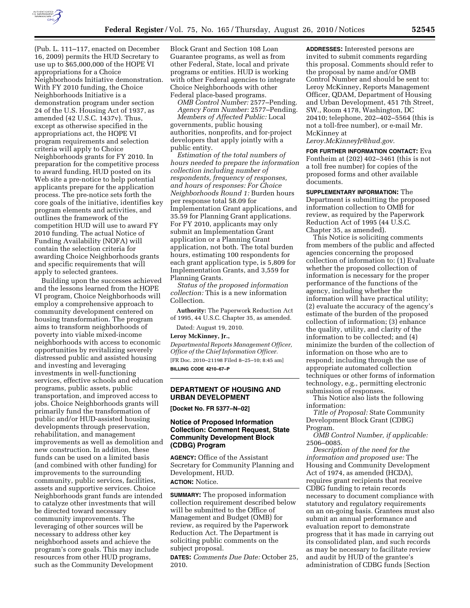

(Pub. L. 111–117, enacted on December 16, 2009) permits the HUD Secretary to use up to \$65,000,000 of the HOPE VI appropriations for a Choice Neighborhoods Initiative demonstration. With FY 2010 funding, the Choice Neighborhoods Initiative is a demonstration program under section 24 of the U.S. Housing Act of 1937, as amended (42 U.S.C. 1437v). Thus, except as otherwise specified in the appropriations act, the HOPE VI program requirements and selection criteria will apply to Choice Neighborhoods grants for FY 2010. In preparation for the competitive process to award funding, HUD posted on its Web site a pre-notice to help potential applicants prepare for the application process. The pre-notice sets forth the core goals of the initiative, identifies key program elements and activities, and outlines the framework of the competition HUD will use to award FY 2010 funding. The actual Notice of Funding Availability (NOFA) will contain the selection criteria for awarding Choice Neighborhoods grants and specific requirements that will apply to selected grantees.

Building upon the successes achieved and the lessons learned from the HOPE VI program, Choice Neighborhoods will employ a comprehensive approach to community development centered on housing transformation. The program aims to transform neighborhoods of poverty into viable mixed-income neighborhoods with access to economic opportunities by revitalizing severely distressed public and assisted housing and investing and leveraging investments in well-functioning services, effective schools and education programs, public assets, public transportation, and improved access to jobs. Choice Neighborhoods grants will primarily fund the transformation of public and/or HUD-assisted housing developments through preservation, rehabilitation, and management improvements as well as demolition and new construction. In addition, these funds can be used on a limited basis (and combined with other funding) for improvements to the surrounding community, public services, facilities, assets and supportive services. Choice Neighborhoods grant funds are intended to catalyze other investments that will be directed toward necessary community improvements. The leveraging of other sources will be necessary to address other key neighborhood assets and achieve the program's core goals. This may include resources from other HUD programs, such as the Community Development

Block Grant and Section 108 Loan Guarantee programs, as well as from other Federal, State, local and private programs or entities. HUD is working with other Federal agencies to integrate Choice Neighborhoods with other Federal place-based programs.

*OMB Control Number:* 2577–Pending. *Agency Form Number:* 2577–Pending.

*Members of Affected Public:* Local governments, public housing authorities, nonprofits, and for-project developers that apply jointly with a public entity.

*Estimation of the total numbers of hours needed to prepare the information collection including number of respondents, frequency of responses, and hours of responses: For Choice Neighborhoods Round 1:* Burden hours per response total 58.09 for Implementation Grant applications, and 35.59 for Planning Grant applications. For FY 2010, applicants may only submit an Implementation Grant application or a Planning Grant application, not both. The total burden hours, estimating 100 respondents for each grant application type, is 5,809 for Implementation Grants, and 3,559 for Planning Grants.

*Status of the proposed information collection:* This is a new information Collection.

**Authority:** The Paperwork Reduction Act of 1995, 44 U.S.C. Chapter 35, as amended.

Dated: August 19, 2010.

### **Leroy McKinney, Jr.,**

*Departmental Reports Management Officer, Office of the Chief Information Officer.*  [FR Doc. 2010–21198 Filed 8–25–10; 8:45 am] **BILLING CODE 4210–67–P** 

# **DEPARTMENT OF HOUSING AND URBAN DEVELOPMENT**

**[Docket No. FR 5377–N–02]** 

## **Notice of Proposed Information Collection: Comment Request, State Community Development Block (CDBG) Program**

**AGENCY:** Office of the Assistant Secretary for Community Planning and Development, HUD.

**ACTION:** Notice.

**SUMMARY:** The proposed information collection requirement described below will be submitted to the Office of Management and Budget (OMB) for review, as required by the Paperwork Reduction Act. The Department is soliciting public comments on the subject proposal.

**DATES:** *Comments Due Date:* October 25, 2010.

**ADDRESSES:** Interested persons are invited to submit comments regarding this proposal. Comments should refer to the proposal by name and/or OMB Control Number and should be sent to: Leroy McKinney, Reports Management Officer, QDAM, Department of Housing and Urban Development, 451 7th Street, SW., Room 4178, Washington, DC 20410; telephone, 202–402–5564 (this is not a toll-free number), or e-mail Mr. McKinney at

*[Leroy.McKinneyJr@hud.gov.](mailto:Leroy.McKinneyJr@hud.gov)* 

**FOR FURTHER INFORMATION CONTACT:** Eva Fontheim at (202) 402–3461 (this is not a toll free number) for copies of the proposed forms and other available documents.

**SUPPLEMENTARY INFORMATION:** The Department is submitting the proposed information collection to OMB for review, as required by the Paperwork Reduction Act of 1995 (44 U.S.C. Chapter 35, as amended).

This Notice is soliciting comments from members of the public and affected agencies concerning the proposed collection of information to: (1) Evaluate whether the proposed collection of information is necessary for the proper performance of the functions of the agency, including whether the information will have practical utility; (2) evaluate the accuracy of the agency's estimate of the burden of the proposed collection of information; (3) enhance the quality, utility, and clarity of the information to be collected; and (4) minimize the burden of the collection of information on those who are to respond; including through the use of appropriate automated collection techniques or other forms of information technology, e.g., permitting electronic submission of responses.

This Notice also lists the following information:

*Title of Proposal:* State Community Development Block Grant (CDBG) Program.

*OMB Control Number, if applicable:*  2506–0085.

*Description of the need for the information and proposed use:* The Housing and Community Development Act of 1974, as amended (HCDA), requires grant recipients that receive CDBG funding to retain records necessary to document compliance with statutory and regulatory requirements on an on-going basis. Grantees must also submit an annual performance and evaluation report to demonstrate progress that it has made in carrying out its consolidated plan, and such records as may be necessary to facilitate review and audit by HUD of the grantee's administration of CDBG funds [Section